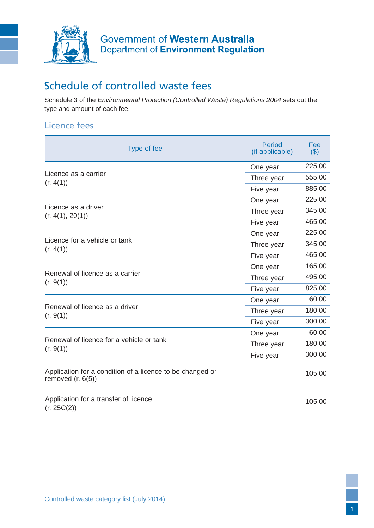

# Schedule of controlled waste fees

Schedule 3 of the *Environmental Protection (Controlled Waste) Regulations 2004* sets out the type and amount of each fee.

## Licence fees

| Type of fee                                                                      | <b>Period</b><br>(if applicable) | Fee<br>( \$) |
|----------------------------------------------------------------------------------|----------------------------------|--------------|
| Licence as a carrier<br>(r. 4(1))                                                | One year                         | 225.00       |
|                                                                                  | Three year                       | 555.00       |
|                                                                                  | Five year                        | 885.00       |
| Licence as a driver<br>(r. 4(1), 20(1))                                          | One year                         | 225.00       |
|                                                                                  | Three year                       | 345.00       |
|                                                                                  | Five year                        | 465.00       |
| Licence for a vehicle or tank<br>(r. 4(1))                                       | One year                         | 225.00       |
|                                                                                  | Three year                       | 345.00       |
|                                                                                  | Five year                        | 465.00       |
| Renewal of licence as a carrier<br>(r. 9(1))                                     | One year                         | 165.00       |
|                                                                                  | Three year                       | 495.00       |
|                                                                                  | Five year                        | 825.00       |
| Renewal of licence as a driver<br>(r. 9(1))                                      | One year                         | 60.00        |
|                                                                                  | Three year                       | 180.00       |
|                                                                                  | Five year                        | 300.00       |
| Renewal of licence for a vehicle or tank<br>(r. 9(1))                            | One year                         | 60.00        |
|                                                                                  | Three year                       | 180.00       |
|                                                                                  | Five year                        | 300.00       |
| Application for a condition of a licence to be changed or<br>removed $(r. 6(5))$ |                                  | 105.00       |
| Application for a transfer of licence<br>(r. 25C(2))                             |                                  | 105.00       |